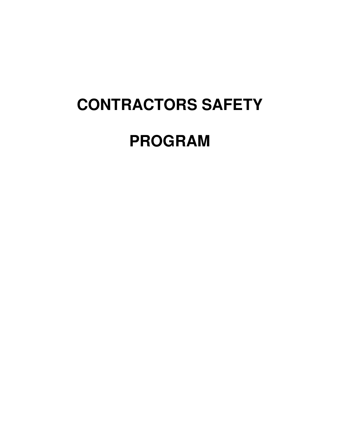# **CONTRACTORS SAFETY**

# **PROGRAM**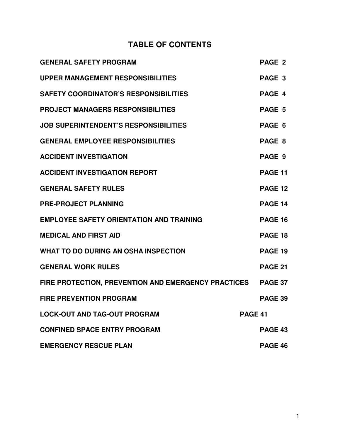# **TABLE OF CONTENTS**

| <b>GENERAL SAFETY PROGRAM</b>                       |                | PAGE 2            |
|-----------------------------------------------------|----------------|-------------------|
| <b>UPPER MANAGEMENT RESPONSIBILITIES</b>            |                | PAGE <sub>3</sub> |
| <b>SAFETY COORDINATOR'S RESPONSIBILITIES</b>        |                | PAGE 4            |
| <b>PROJECT MANAGERS RESPONSIBILITIES</b>            |                | PAGE 5            |
| <b>JOB SUPERINTENDENT'S RESPONSIBILITIES</b>        |                | PAGE 6            |
| <b>GENERAL EMPLOYEE RESPONSIBILITIES</b>            |                | PAGE 8            |
| <b>ACCIDENT INVESTIGATION</b>                       |                | PAGE 9            |
| <b>ACCIDENT INVESTIGATION REPORT</b>                |                | PAGE 11           |
| <b>GENERAL SAFETY RULES</b>                         |                | <b>PAGE 12</b>    |
| <b>PRE-PROJECT PLANNING</b>                         |                | <b>PAGE 14</b>    |
| <b>EMPLOYEE SAFETY ORIENTATION AND TRAINING</b>     |                | <b>PAGE 16</b>    |
| <b>MEDICAL AND FIRST AID</b>                        |                | PAGE 18           |
| <b>WHAT TO DO DURING AN OSHA INSPECTION</b>         |                | PAGE 19           |
| <b>GENERAL WORK RULES</b>                           |                | <b>PAGE 21</b>    |
| FIRE PROTECTION, PREVENTION AND EMERGENCY PRACTICES |                | <b>PAGE 37</b>    |
| <b>FIRE PREVENTION PROGRAM</b>                      |                | <b>PAGE 39</b>    |
| <b>LOCK-OUT AND TAG-OUT PROGRAM</b>                 | <b>PAGE 41</b> |                   |
| <b>CONFINED SPACE ENTRY PROGRAM</b>                 |                | <b>PAGE 43</b>    |
| <b>EMERGENCY RESCUE PLAN</b>                        |                | PAGE 46           |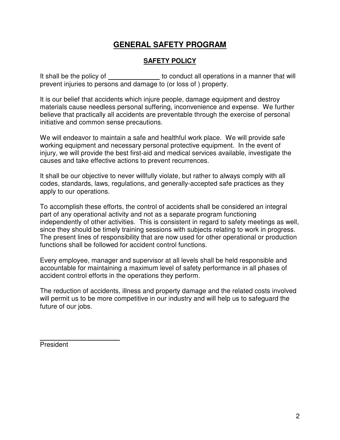# **GENERAL SAFETY PROGRAM**

#### **SAFETY POLICY**

It shall be the policy of the the policy of the state of the conduct all operations in a manner that will prevent injuries to persons and damage to (or loss of ) property.

It is our belief that accidents which injure people, damage equipment and destroy materials cause needless personal suffering, inconvenience and expense. We further believe that practically all accidents are preventable through the exercise of personal initiative and common sense precautions.

We will endeavor to maintain a safe and healthful work place. We will provide safe working equipment and necessary personal protective equipment. In the event of injury, we will provide the best first-aid and medical services available, investigate the causes and take effective actions to prevent recurrences.

It shall be our objective to never willfully violate, but rather to always comply with all codes, standards, laws, regulations, and generally-accepted safe practices as they apply to our operations.

To accomplish these efforts, the control of accidents shall be considered an integral part of any operational activity and not as a separate program functioning independently of other activities. This is consistent in regard to safety meetings as well, since they should be timely training sessions with subjects relating to work in progress. The present lines of responsibility that are now used for other operational or production functions shall be followed for accident control functions.

Every employee, manager and supervisor at all levels shall be held responsible and accountable for maintaining a maximum level of safety performance in all phases of accident control efforts in the operations they perform.

The reduction of accidents, illness and property damage and the related costs involved will permit us to be more competitive in our industry and will help us to safeguard the future of our jobs.

 $\overline{a}$ President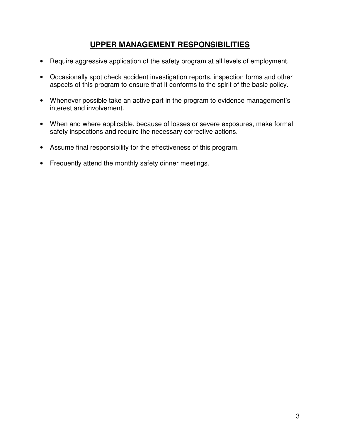# **UPPER MANAGEMENT RESPONSIBILITIES**

- Require aggressive application of the safety program at all levels of employment.
- Occasionally spot check accident investigation reports, inspection forms and other aspects of this program to ensure that it conforms to the spirit of the basic policy.
- Whenever possible take an active part in the program to evidence management's interest and involvement.
- When and where applicable, because of losses or severe exposures, make formal safety inspections and require the necessary corrective actions.
- Assume final responsibility for the effectiveness of this program.
- Frequently attend the monthly safety dinner meetings.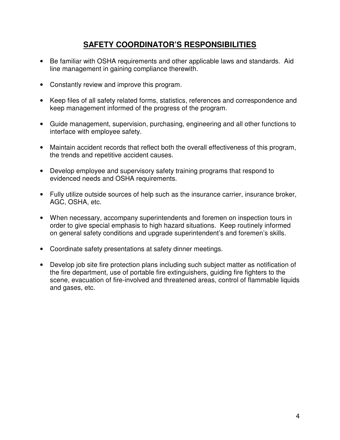# **SAFETY COORDINATOR'S RESPONSIBILITIES**

- Be familiar with OSHA requirements and other applicable laws and standards. Aid line management in gaining compliance therewith.
- Constantly review and improve this program.
- Keep files of all safety related forms, statistics, references and correspondence and keep management informed of the progress of the program.
- Guide management, supervision, purchasing, engineering and all other functions to interface with employee safety.
- Maintain accident records that reflect both the overall effectiveness of this program, the trends and repetitive accident causes.
- Develop employee and supervisory safety training programs that respond to evidenced needs and OSHA requirements.
- Fully utilize outside sources of help such as the insurance carrier, insurance broker, AGC, OSHA, etc.
- When necessary, accompany superintendents and foremen on inspection tours in order to give special emphasis to high hazard situations. Keep routinely informed on general safety conditions and upgrade superintendent's and foremen's skills.
- Coordinate safety presentations at safety dinner meetings.
- Develop job site fire protection plans including such subject matter as notification of the fire department, use of portable fire extinguishers, guiding fire fighters to the scene, evacuation of fire-involved and threatened areas, control of flammable liquids and gases, etc.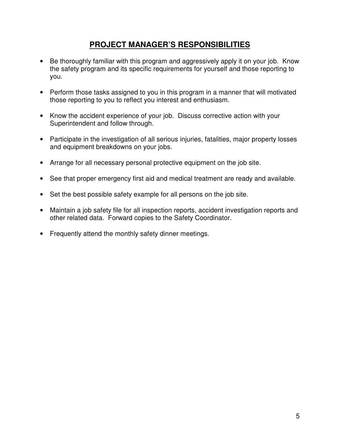# **PROJECT MANAGER'S RESPONSIBILITIES**

- Be thoroughly familiar with this program and aggressively apply it on your job. Know the safety program and its specific requirements for yourself and those reporting to you.
- Perform those tasks assigned to you in this program in a manner that will motivated those reporting to you to reflect you interest and enthusiasm.
- Know the accident experience of your job. Discuss corrective action with your Superintendent and follow through.
- Participate in the investigation of all serious injuries, fatalities, major property losses and equipment breakdowns on your jobs.
- Arrange for all necessary personal protective equipment on the job site.
- See that proper emergency first aid and medical treatment are ready and available.
- Set the best possible safety example for all persons on the job site.
- Maintain a job safety file for all inspection reports, accident investigation reports and other related data. Forward copies to the Safety Coordinator.
- Frequently attend the monthly safety dinner meetings.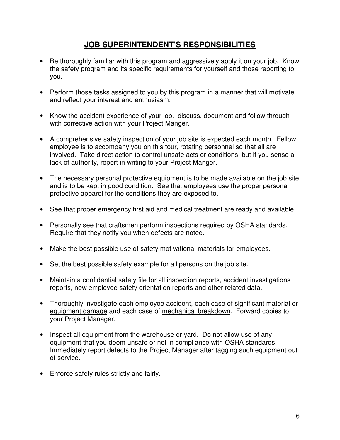# **JOB SUPERINTENDENT'S RESPONSIBILITIES**

- Be thoroughly familiar with this program and aggressively apply it on your job. Know the safety program and its specific requirements for yourself and those reporting to you.
- Perform those tasks assigned to you by this program in a manner that will motivate and reflect your interest and enthusiasm.
- Know the accident experience of your job. discuss, document and follow through with corrective action with your Project Manger.
- A comprehensive safety inspection of your job site is expected each month. Fellow employee is to accompany you on this tour, rotating personnel so that all are involved. Take direct action to control unsafe acts or conditions, but if you sense a lack of authority, report in writing to your Project Manger.
- The necessary personal protective equipment is to be made available on the job site and is to be kept in good condition. See that employees use the proper personal protective apparel for the conditions they are exposed to.
- See that proper emergency first aid and medical treatment are ready and available.
- Personally see that craftsmen perform inspections required by OSHA standards. Require that they notify you when defects are noted.
- Make the best possible use of safety motivational materials for employees.
- Set the best possible safety example for all persons on the job site.
- Maintain a confidential safety file for all inspection reports, accident investigations reports, new employee safety orientation reports and other related data.
- Thoroughly investigate each employee accident, each case of significant material or equipment damage and each case of mechanical breakdown. Forward copies to your Project Manager.
- Inspect all equipment from the warehouse or yard. Do not allow use of any equipment that you deem unsafe or not in compliance with OSHA standards. Immediately report defects to the Project Manager after tagging such equipment out of service.
- Enforce safety rules strictly and fairly.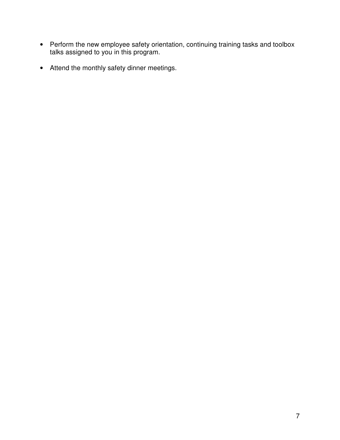- Perform the new employee safety orientation, continuing training tasks and toolbox talks assigned to you in this program.
- Attend the monthly safety dinner meetings.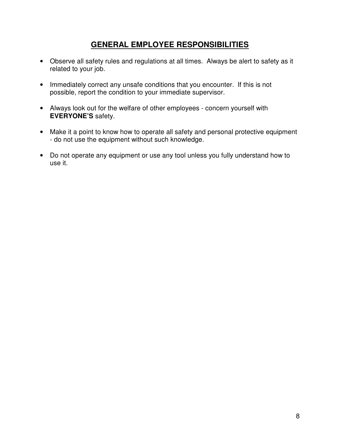# **GENERAL EMPLOYEE RESPONSIBILITIES**

- Observe all safety rules and regulations at all times. Always be alert to safety as it related to your job.
- Immediately correct any unsafe conditions that you encounter. If this is not possible, report the condition to your immediate supervisor.
- Always look out for the welfare of other employees concern yourself with **EVERYONE'S** safety.
- Make it a point to know how to operate all safety and personal protective equipment - do not use the equipment without such knowledge.
- Do not operate any equipment or use any tool unless you fully understand how to use it.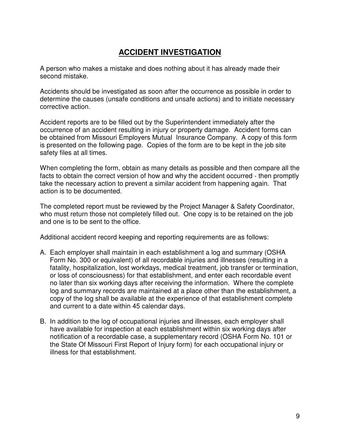# **ACCIDENT INVESTIGATION**

A person who makes a mistake and does nothing about it has already made their second mistake.

Accidents should be investigated as soon after the occurrence as possible in order to determine the causes (unsafe conditions and unsafe actions) and to initiate necessary corrective action.

Accident reports are to be filled out by the Superintendent immediately after the occurrence of an accident resulting in injury or property damage. Accident forms can be obtained from Missouri Employers Mutual Insurance Company. A copy of this form is presented on the following page. Copies of the form are to be kept in the job site safety files at all times.

When completing the form, obtain as many details as possible and then compare all the facts to obtain the correct version of how and why the accident occurred - then promptly take the necessary action to prevent a similar accident from happening again. That action is to be documented.

The completed report must be reviewed by the Project Manager & Safety Coordinator, who must return those not completely filled out. One copy is to be retained on the job and one is to be sent to the office.

Additional accident record keeping and reporting requirements are as follows:

- A. Each employer shall maintain in each establishment a log and summary (OSHA Form No. 300 or equivalent) of all recordable injuries and illnesses (resulting in a fatality, hospitalization, lost workdays, medical treatment, job transfer or termination, or loss of consciousness) for that establishment, and enter each recordable event no later than six working days after receiving the information. Where the complete log and summary records are maintained at a place other than the establishment, a copy of the log shall be available at the experience of that establishment complete and current to a date within 45 calendar days.
- B. In addition to the log of occupational injuries and illnesses, each employer shall have available for inspection at each establishment within six working days after notification of a recordable case, a supplementary record (OSHA Form No. 101 or the State Of Missouri First Report of Injury form) for each occupational injury or illness for that establishment.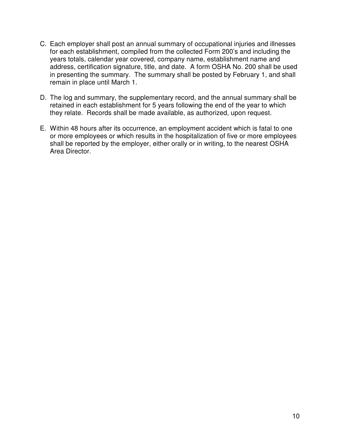- C. Each employer shall post an annual summary of occupational injuries and illnesses for each establishment, compiled from the collected Form 200's and including the years totals, calendar year covered, company name, establishment name and address, certification signature, title, and date. A form OSHA No. 200 shall be used in presenting the summary. The summary shall be posted by February 1, and shall remain in place until March 1.
- D. The log and summary, the supplementary record, and the annual summary shall be retained in each establishment for 5 years following the end of the year to which they relate. Records shall be made available, as authorized, upon request.
- E. Within 48 hours after its occurrence, an employment accident which is fatal to one or more employees or which results in the hospitalization of five or more employees shall be reported by the employer, either orally or in writing, to the nearest OSHA Area Director.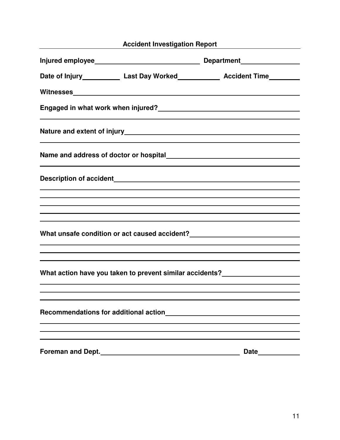|                          |                                                                                                                                                                                                                               | Accident Investigation Report Manuscriptum Manuscriptum Manuscriptum Manuscriptum Manuscriptum Manuscriptum Ma                                                                                                                                                                                            |
|--------------------------|-------------------------------------------------------------------------------------------------------------------------------------------------------------------------------------------------------------------------------|-----------------------------------------------------------------------------------------------------------------------------------------------------------------------------------------------------------------------------------------------------------------------------------------------------------|
|                          |                                                                                                                                                                                                                               |                                                                                                                                                                                                                                                                                                           |
|                          |                                                                                                                                                                                                                               | Date of Injury_______________ Last Day Worked______________ Accident Time________                                                                                                                                                                                                                         |
|                          |                                                                                                                                                                                                                               |                                                                                                                                                                                                                                                                                                           |
|                          |                                                                                                                                                                                                                               | Engaged in what work when injured?<br><u> Land and and announcement of the set of the set of the set of the set of the set of the set of the set of the set o</u><br><u> 1989 - Johann Stoff, amerikansk politiker (d. 1989)</u>                                                                          |
|                          |                                                                                                                                                                                                                               |                                                                                                                                                                                                                                                                                                           |
|                          | the control of the control of the control of the control of the control of the control of the control of the control of the control of the control of the control of the control of the control of the control of the control |                                                                                                                                                                                                                                                                                                           |
|                          |                                                                                                                                                                                                                               |                                                                                                                                                                                                                                                                                                           |
|                          |                                                                                                                                                                                                                               | ,我们也不会有什么。""我们的人,我们也不会有什么?""我们的人,我们也不会有什么?""我们的人,我们也不会有什么?""我们的人,我们也不会有什么?""我们的人<br>,我们也不会有什么。""我们的人,我们也不会有什么?""我们的人,我们也不会有什么?""我们的人,我们也不会有什么?""我们的人,我们也不会有什么?""我们的人                                                                                                                                      |
|                          |                                                                                                                                                                                                                               | ,我们也不会有什么。""我们的人,我们也不会有什么?""我们的人,我们也不会有什么?""我们的人,我们也不会有什么?""我们的人,我们也不会有什么?""我们的人<br>What unsafe condition or act caused accident?___________________________________<br><u> 1989 - Jan Salaman Salaman (j. 1989).</u><br>,我们也不会有什么。""我们的人,我们也不会有什么?""我们的人,我们也不会有什么?""我们的人,我们也不会有什么?""我们的人,我们也不会有什么?""我们的人 |
|                          | <u> 1989 - Johann Stoff, amerikansk politiker (* 1908)</u>                                                                                                                                                                    | What action have you taken to prevent similar accidents?________________________                                                                                                                                                                                                                          |
|                          | Recommendations for additional action                                                                                                                                                                                         |                                                                                                                                                                                                                                                                                                           |
| <b>Foreman and Dept.</b> |                                                                                                                                                                                                                               | <b>Date</b>                                                                                                                                                                                                                                                                                               |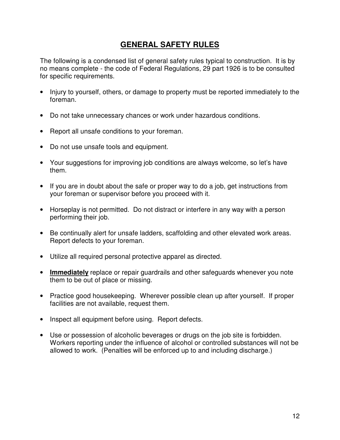# **GENERAL SAFETY RULES**

The following is a condensed list of general safety rules typical to construction. It is by no means complete - the code of Federal Regulations, 29 part 1926 is to be consulted for specific requirements.

- Injury to yourself, others, or damage to property must be reported immediately to the foreman.
- Do not take unnecessary chances or work under hazardous conditions.
- Report all unsafe conditions to your foreman.
- Do not use unsafe tools and equipment.
- Your suggestions for improving job conditions are always welcome, so let's have them.
- If you are in doubt about the safe or proper way to do a job, get instructions from your foreman or supervisor before you proceed with it.
- Horseplay is not permitted. Do not distract or interfere in any way with a person performing their job.
- Be continually alert for unsafe ladders, scaffolding and other elevated work areas. Report defects to your foreman.
- Utilize all required personal protective apparel as directed.
- **Immediately** replace or repair guardrails and other safeguards whenever you note them to be out of place or missing.
- Practice good housekeeping. Wherever possible clean up after yourself. If proper facilities are not available, request them.
- Inspect all equipment before using. Report defects.
- Use or possession of alcoholic beverages or drugs on the job site is forbidden. Workers reporting under the influence of alcohol or controlled substances will not be allowed to work. (Penalties will be enforced up to and including discharge.)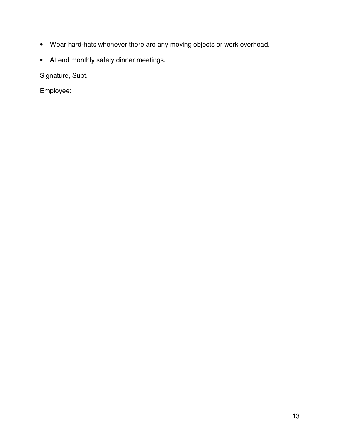- Wear hard-hats whenever there are any moving objects or work overhead.
- Attend monthly safety dinner meetings.

Signature, Supt.: Signature, Supt.: Signature, Supt.: Signature, Supt.: Signature, Supt.: Signature, Supt.: Signature, Supt.: Signature, Supt.: Signature, Supt.: Signature, Supt.: Signature, Supt.: Signature, Supt.: Signat

Employee: 2000 Contract Contract Contract Contract Contract Contract Contract Contract Contract Contract Contract Contract Contract Contract Contract Contract Contract Contract Contract Contract Contract Contract Contract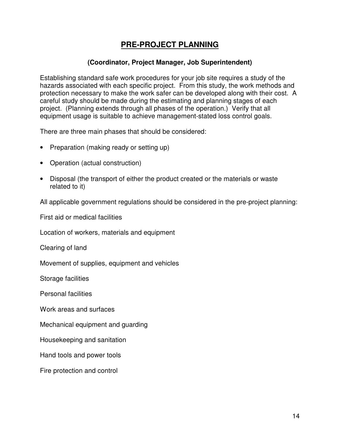# **PRE-PROJECT PLANNING**

#### **(Coordinator, Project Manager, Job Superintendent)**

Establishing standard safe work procedures for your job site requires a study of the hazards associated with each specific project. From this study, the work methods and protection necessary to make the work safer can be developed along with their cost. A careful study should be made during the estimating and planning stages of each project. (Planning extends through all phases of the operation.) Verify that all equipment usage is suitable to achieve management-stated loss control goals.

There are three main phases that should be considered:

- Preparation (making ready or setting up)
- Operation (actual construction)
- Disposal (the transport of either the product created or the materials or waste related to it)

All applicable government regulations should be considered in the pre-project planning:

First aid or medical facilities

Location of workers, materials and equipment

Clearing of land

Movement of supplies, equipment and vehicles

Storage facilities

Personal facilities

Work areas and surfaces

Mechanical equipment and guarding

Housekeeping and sanitation

Hand tools and power tools

Fire protection and control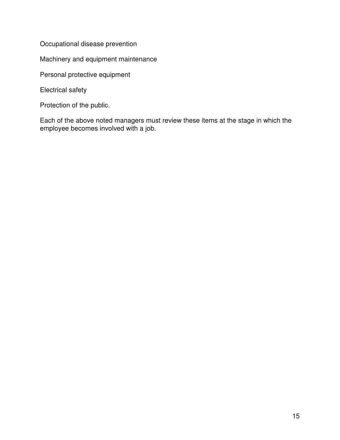Occupational disease prevention

Machinery and equipment maintenance

Personal protective equipment

Electrical safety

Protection of the public.

Each of the above noted managers must review these items at the stage in which the employee becomes involved with a job.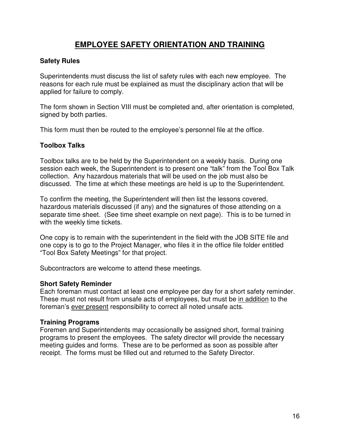# **EMPLOYEE SAFETY ORIENTATION AND TRAINING**

#### **Safety Rules**

Superintendents must discuss the list of safety rules with each new employee. The reasons for each rule must be explained as must the disciplinary action that will be applied for failure to comply.

The form shown in Section VIII must be completed and, after orientation is completed, signed by both parties.

This form must then be routed to the employee's personnel file at the office.

#### **Toolbox Talks**

Toolbox talks are to be held by the Superintendent on a weekly basis. During one session each week, the Superintendent is to present one "talk" from the Tool Box Talk collection. Any hazardous materials that will be used on the job must also be discussed. The time at which these meetings are held is up to the Superintendent.

To confirm the meeting, the Superintendent will then list the lessons covered, hazardous materials discussed (if any) and the signatures of those attending on a separate time sheet. (See time sheet example on next page). This is to be turned in with the weekly time tickets.

One copy is to remain with the superintendent in the field with the JOB SITE file and one copy is to go to the Project Manager, who files it in the office file folder entitled "Tool Box Safety Meetings" for that project.

Subcontractors are welcome to attend these meetings.

#### **Short Safety Reminder**

Each foreman must contact at least one employee per day for a short safety reminder. These must not result from unsafe acts of employees, but must be in addition to the foreman's ever present responsibility to correct all noted unsafe acts.

#### **Training Programs**

Foremen and Superintendents may occasionally be assigned short, formal training programs to present the employees. The safety director will provide the necessary meeting guides and forms. These are to be performed as soon as possible after receipt. The forms must be filled out and returned to the Safety Director.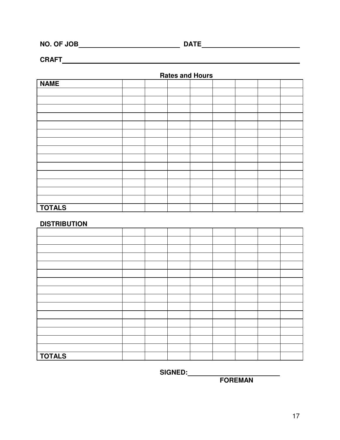**NO. OF JOB DATE** 

**CRAFT** 

 **Rates and Hours** 

| <b>NAME</b>   |  |  |  |  |
|---------------|--|--|--|--|
|               |  |  |  |  |
|               |  |  |  |  |
|               |  |  |  |  |
|               |  |  |  |  |
|               |  |  |  |  |
|               |  |  |  |  |
|               |  |  |  |  |
|               |  |  |  |  |
|               |  |  |  |  |
|               |  |  |  |  |
|               |  |  |  |  |
|               |  |  |  |  |
|               |  |  |  |  |
|               |  |  |  |  |
| <b>TOTALS</b> |  |  |  |  |

#### **DISTRIBUTION**

| <b>TOTALS</b> |  |  |  |  |
|---------------|--|--|--|--|

 **SIGNED:** 

 *FOREMAN*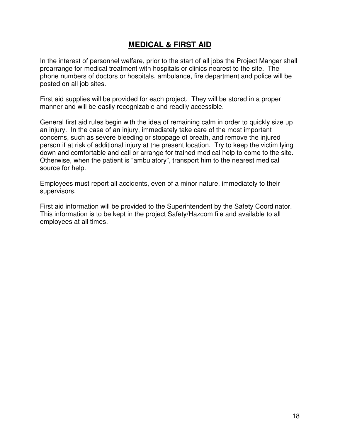# **MEDICAL & FIRST AID**

In the interest of personnel welfare, prior to the start of all jobs the Project Manger shall prearrange for medical treatment with hospitals or clinics nearest to the site. The phone numbers of doctors or hospitals, ambulance, fire department and police will be posted on all job sites.

First aid supplies will be provided for each project. They will be stored in a proper manner and will be easily recognizable and readily accessible.

General first aid rules begin with the idea of remaining calm in order to quickly size up an injury. In the case of an injury, immediately take care of the most important concerns, such as severe bleeding or stoppage of breath, and remove the injured person if at risk of additional injury at the present location. Try to keep the victim lying down and comfortable and call or arrange for trained medical help to come to the site. Otherwise, when the patient is "ambulatory", transport him to the nearest medical source for help.

Employees must report all accidents, even of a minor nature, immediately to their supervisors.

First aid information will be provided to the Superintendent by the Safety Coordinator. This information is to be kept in the project Safety/Hazcom file and available to all employees at all times.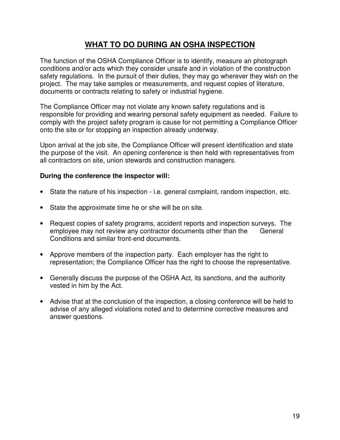# **WHAT TO DO DURING AN OSHA INSPECTION**

The function of the OSHA Compliance Officer is to identify, measure an photograph conditions and/or acts which they consider unsafe and in violation of the construction safety regulations. In the pursuit of their duties, they may go wherever they wish on the project. The may take samples or measurements, and request copies of literature, documents or contracts relating to safety or industrial hygiene.

The Compliance Officer may not violate any known safety regulations and is responsible for providing and wearing personal safety equipment as needed. Failure to comply with the project safety program is cause for not permitting a Compliance Officer onto the site or for stopping an inspection already underway.

Upon arrival at the job site, the Compliance Officer will present identification and state the purpose of the visit. An opening conference is then held with representatives from all contractors on site, union stewards and construction managers.

#### **During the conference the inspector will:**

- State the nature of his inspection i.e. general complaint, random inspection, etc.
- State the approximate time he or she will be on site.
- Request copies of safety programs, accident reports and inspection surveys. The employee may not review any contractor documents other than the General Conditions and similar front-end documents.
- Approve members of the inspection party. Each employer has the right to representation; the Compliance Officer has the right to choose the representative.
- Generally discuss the purpose of the OSHA Act, its sanctions, and the authority vested in him by the Act.
- Advise that at the conclusion of the inspection, a closing conference will be held to advise of any alleged violations noted and to determine corrective measures and answer questions.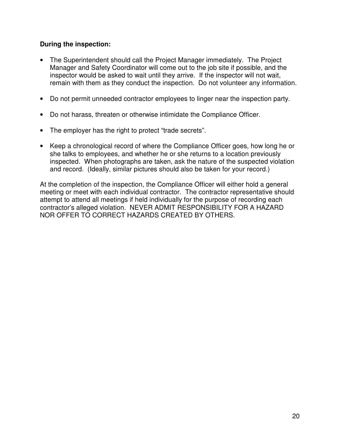#### **During the inspection:**

- The Superintendent should call the Project Manager immediately. The Project Manager and Safety Coordinator will come out to the job site if possible, and the inspector would be asked to wait until they arrive. If the inspector will not wait, remain with them as they conduct the inspection. Do not volunteer any information.
- Do not permit unneeded contractor employees to linger near the inspection party.
- Do not harass, threaten or otherwise intimidate the Compliance Officer.
- The employer has the right to protect "trade secrets".
- Keep a chronological record of where the Compliance Officer goes, how long he or she talks to employees, and whether he or she returns to a location previously inspected. When photographs are taken, ask the nature of the suspected violation and record. (Ideally, similar pictures should also be taken for your record.)

At the completion of the inspection, the Compliance Officer will either hold a general meeting or meet with each individual contractor. The contractor representative should attempt to attend all meetings if held individually for the purpose of recording each contractor's alleged violation. NEVER ADMIT RESPONSIBILITY FOR A HAZARD NOR OFFER TO CORRECT HAZARDS CREATED BY OTHERS.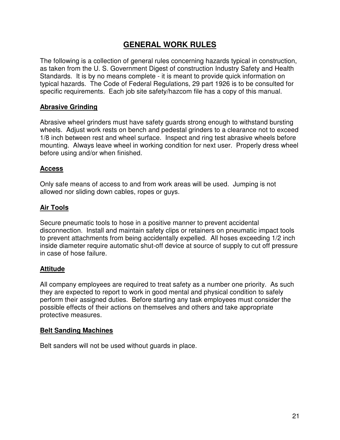# **GENERAL WORK RULES**

The following is a collection of general rules concerning hazards typical in construction, as taken from the U. S. Government Digest of construction Industry Safety and Health Standards. It is by no means complete - it is meant to provide quick information on typical hazards. The Code of Federal Regulations, 29 part 1926 is to be consulted for specific requirements. Each job site safety/hazcom file has a copy of this manual.

#### **Abrasive Grinding**

Abrasive wheel grinders must have safety guards strong enough to withstand bursting wheels. Adjust work rests on bench and pedestal grinders to a clearance not to exceed 1/8 inch between rest and wheel surface. Inspect and ring test abrasive wheels before mounting. Always leave wheel in working condition for next user. Properly dress wheel before using and/or when finished.

#### **Access**

Only safe means of access to and from work areas will be used. Jumping is not allowed nor sliding down cables, ropes or guys.

#### **Air Tools**

Secure pneumatic tools to hose in a positive manner to prevent accidental disconnection. Install and maintain safety clips or retainers on pneumatic impact tools to prevent attachments from being accidentally expelled. All hoses exceeding 1/2 inch inside diameter require automatic shut-off device at source of supply to cut off pressure in case of hose failure.

#### **Attitude**

All company employees are required to treat safety as a number one priority. As such they are expected to report to work in good mental and physical condition to safely perform their assigned duties. Before starting any task employees must consider the possible effects of their actions on themselves and others and take appropriate protective measures.

#### **Belt Sanding Machines**

Belt sanders will not be used without guards in place.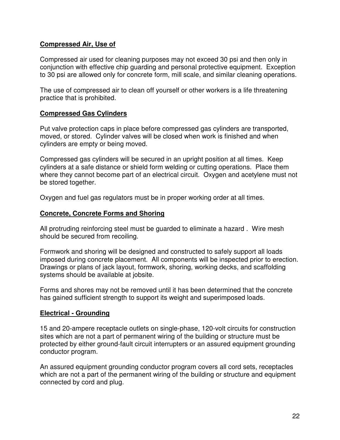#### **Compressed Air, Use of**

Compressed air used for cleaning purposes may not exceed 30 psi and then only in conjunction with effective chip guarding and personal protective equipment. Exception to 30 psi are allowed only for concrete form, mill scale, and similar cleaning operations.

The use of compressed air to clean off yourself or other workers is a life threatening practice that is prohibited.

#### **Compressed Gas Cylinders**

Put valve protection caps in place before compressed gas cylinders are transported, moved, or stored. Cylinder valves will be closed when work is finished and when cylinders are empty or being moved.

Compressed gas cylinders will be secured in an upright position at all times. Keep cylinders at a safe distance or shield form welding or cutting operations. Place them where they cannot become part of an electrical circuit. Oxygen and acetylene must not be stored together.

Oxygen and fuel gas regulators must be in proper working order at all times.

#### **Concrete, Concrete Forms and Shoring**

All protruding reinforcing steel must be guarded to eliminate a hazard . Wire mesh should be secured from recoiling.

Formwork and shoring will be designed and constructed to safely support all loads imposed during concrete placement. All components will be inspected prior to erection. Drawings or plans of jack layout, formwork, shoring, working decks, and scaffolding systems should be available at jobsite.

Forms and shores may not be removed until it has been determined that the concrete has gained sufficient strength to support its weight and superimposed loads.

#### **Electrical - Grounding**

15 and 20-ampere receptacle outlets on single-phase, 120-volt circuits for construction sites which are not a part of permanent wiring of the building or structure must be protected by either ground-fault circuit interrupters or an assured equipment grounding conductor program.

An assured equipment grounding conductor program covers all cord sets, receptacles which are not a part of the permanent wiring of the building or structure and equipment connected by cord and plug.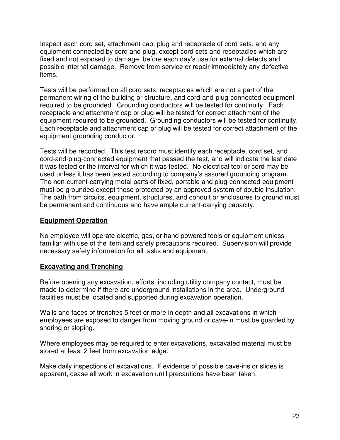Inspect each cord set, attachment cap, plug and receptacle of cord sets, and any equipment connected by cord and plug, except cord sets and receptacles which are fixed and not exposed to damage, before each day's use for external defects and possible internal damage. Remove from service or repair immediately any defective items.

Tests will be performed on all cord sets, receptacles which are not a part of the permanent wiring of the building or structure, and cord-and-plug-connected equipment required to be grounded. Grounding conductors will be tested for continuity. Each receptacle and attachment cap or plug will be tested for correct attachment of the equipment required to be grounded. Grounding conductors will be tested for continuity. Each receptacle and attachment cap or plug will be tested for correct attachment of the equipment grounding conductor.

Tests will be recorded. This test record must identify each receptacle, cord set, and cord-and-plug-connected equipment that passed the test, and will indicate the last date it was tested or the interval for which it was tested. No electrical tool or cord may be used unless it has been tested according to company's assured grounding program. The non-current-carrying metal parts of fixed, portable and plug-connected equipment must be grounded except those protected by an approved system of double insulation. The path from circuits, equipment, structures, and conduit or enclosures to ground must be permanent and continuous and have ample current-carrying capacity.

#### **Equipment Operation**

No employee will operate electric, gas, or hand powered tools or equipment unless familiar with use of the item and safety precautions required. Supervision will provide necessary safety information for all tasks and equipment.

#### **Excavating and Trenching**

Before opening any excavation, efforts, including utility company contact, must be made to determine if there are underground installations in the area. Underground facilities must be located and supported during excavation operation.

Walls and faces of trenches 5 feet or more in depth and all excavations in which employees are exposed to danger from moving ground or cave-in must be guarded by shoring or sloping.

Where employees may be required to enter excavations, excavated material must be stored at least 2 feet from excavation edge.

Make daily inspections of excavations. If evidence of possible cave-ins or slides is apparent, cease all work in excavation until precautions have been taken.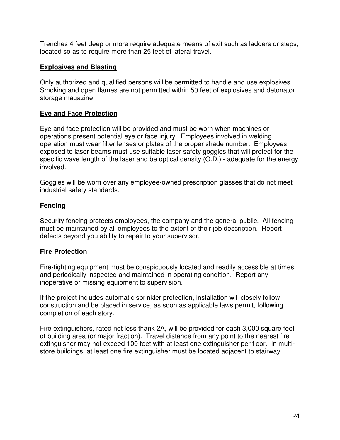Trenches 4 feet deep or more require adequate means of exit such as ladders or steps, located so as to require more than 25 feet of lateral travel.

#### **Explosives and Blasting**

Only authorized and qualified persons will be permitted to handle and use explosives. Smoking and open flames are not permitted within 50 feet of explosives and detonator storage magazine.

#### **Eye and Face Protection**

Eye and face protection will be provided and must be worn when machines or operations present potential eye or face injury. Employees involved in welding operation must wear filter lenses or plates of the proper shade number. Employees exposed to laser beams must use suitable laser safety goggles that will protect for the specific wave length of the laser and be optical density (O.D.) - adequate for the energy involved.

Goggles will be worn over any employee-owned prescription glasses that do not meet industrial safety standards.

#### **Fencing**

Security fencing protects employees, the company and the general public. All fencing must be maintained by all employees to the extent of their job description. Report defects beyond you ability to repair to your supervisor.

#### **Fire Protection**

Fire-fighting equipment must be conspicuously located and readily accessible at times, and periodically inspected and maintained in operating condition. Report any inoperative or missing equipment to supervision.

If the project includes automatic sprinkler protection, installation will closely follow construction and be placed in service, as soon as applicable laws permit, following completion of each story.

Fire extinguishers, rated not less thank 2A, will be provided for each 3,000 square feet of building area (or major fraction). Travel distance from any point to the nearest fire extinguisher may not exceed 100 feet with at least one extinguisher per floor. In multistore buildings, at least one fire extinguisher must be located adjacent to stairway.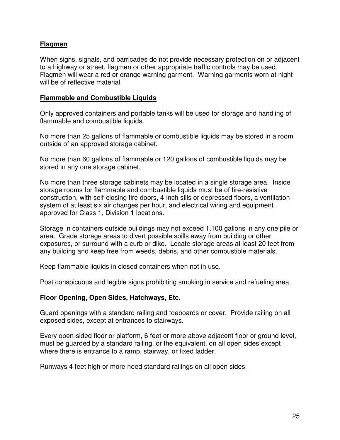#### **Flagmen**

When signs, signals, and barricades do not provide necessary protection on or adjacent to a highway or street, flagmen or other appropriate traffic controls may be used. Flagmen will wear a red or orange warning garment. Warning garments worn at night will be of reflective material.

#### **Flammable and Combustible Liquids**

Only approved containers and portable tanks will be used for storage and handling of flammable and combustible liquids.

No more than 25 gallons of flammable or combustible liquids may be stored in a room outside of an approved storage cabinet.

No more than 60 gallons of flammable or 120 gallons of combustible liquids may be stored in any one storage cabinet.

No more than three storage cabinets may be located in a single storage area. Inside storage rooms for flammable and combustible liquids must be of fire-resistive construction, with self-closing fire doors, 4-inch sills or depressed floors, a ventilation system of at least six air changes per hour, and electrical wiring and equipment approved for Class 1, Division 1 locations.

Storage in containers outside buildings may not exceed 1,100 gallons in any one pile or area. Grade storage areas to divert possible spills away from building or other exposures, or surround with a curb or dike. Locate storage areas at least 20 feet from any building and keep free from weeds, debris, and other combustible materials.

Keep flammable liquids in closed containers when not in use.

Post conspicuous and legible signs prohibiting smoking in service and refueling area.

#### **Floor Opening, Open Sides, Hatchways, Etc.**

Guard openings with a standard railing and toeboards or cover. Provide railing on all exposed sides, except at entrances to stairways.

Every open-sided floor or platform, 6 feet or more above adjacent floor or ground level, must be guarded by a standard railing, or the equivalent, on all open sides except where there is entrance to a ramp, stairway, or fixed ladder.

Runways 4 feet high or more need standard railings on all open sides.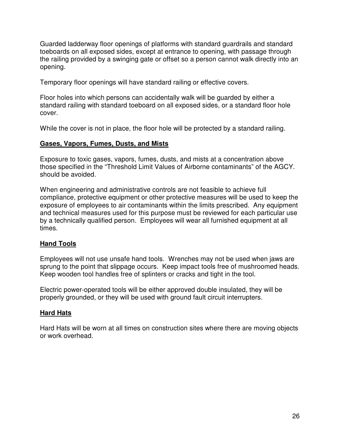Guarded ladderway floor openings of platforms with standard guardrails and standard toeboards on all exposed sides, except at entrance to opening, with passage through the railing provided by a swinging gate or offset so a person cannot walk directly into an opening.

Temporary floor openings will have standard railing or effective covers.

Floor holes into which persons can accidentally walk will be guarded by either a standard railing with standard toeboard on all exposed sides, or a standard floor hole cover.

While the cover is not in place, the floor hole will be protected by a standard railing.

#### **Gases, Vapors, Fumes, Dusts, and Mists**

Exposure to toxic gases, vapors, fumes, dusts, and mists at a concentration above those specified in the "Threshold Limit Values of Airborne contaminants" of the AGCY. should be avoided.

When engineering and administrative controls are not feasible to achieve full compliance, protective equipment or other protective measures will be used to keep the exposure of employees to air contaminants within the limits prescribed. Any equipment and technical measures used for this purpose must be reviewed for each particular use by a technically qualified person. Employees will wear all furnished equipment at all times.

#### **Hand Tools**

Employees will not use unsafe hand tools. Wrenches may not be used when jaws are sprung to the point that slippage occurs. Keep impact tools free of mushroomed heads. Keep wooden tool handles free of splinters or cracks and tight in the tool.

Electric power-operated tools will be either approved double insulated, they will be properly grounded, or they will be used with ground fault circuit interrupters.

#### **Hard Hats**

Hard Hats will be worn at all times on construction sites where there are moving objects or work overhead.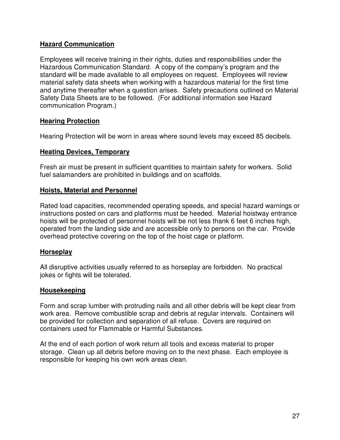#### **Hazard Communication**

Employees will receive training in their rights, duties and responsibilities under the Hazardous Communication Standard. A copy of the company's program and the standard will be made available to all employees on request. Employees will review material safety data sheets when working with a hazardous material for the first time and anytime thereafter when a question arises. Safety precautions outlined on Material Safety Data Sheets are to be followed. (For additional information see Hazard communication Program.)

#### **Hearing Protection**

Hearing Protection will be worn in areas where sound levels may exceed 85 decibels.

#### **Heating Devices, Temporary**

Fresh air must be present in sufficient quantities to maintain safety for workers. Solid fuel salamanders are prohibited in buildings and on scaffolds.

#### **Hoists, Material and Personnel**

Rated load capacities, recommended operating speeds, and special hazard warnings or instructions posted on cars and platforms must be heeded. Material hoistway entrance hoists will be protected of personnel hoists will be not less thank 6 feet 6 inches high, operated from the landing side and are accessible only to persons on the car. Provide overhead protective covering on the top of the hoist cage or platform.

#### **Horseplay**

All disruptive activities usually referred to as horseplay are forbidden. No practical jokes or fights will be tolerated.

#### **Housekeeping**

Form and scrap lumber with protruding nails and all other debris will be kept clear from work area. Remove combustible scrap and debris at regular intervals. Containers will be provided for collection and separation of all refuse. Covers are required on containers used for Flammable or Harmful Substances.

At the end of each portion of work return all tools and excess material to proper storage. Clean up all debris before moving on to the next phase. Each employee is responsible for keeping his own work areas clean.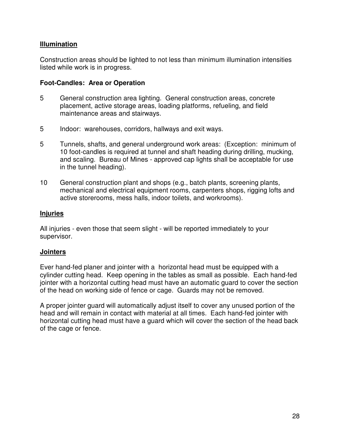#### **Illumination**

Construction areas should be lighted to not less than minimum illumination intensities listed while work is in progress.

#### **Foot-Candles: Area or Operation**

- 5 General construction area lighting. General construction areas, concrete placement, active storage areas, loading platforms, refueling, and field maintenance areas and stairways.
- 5 Indoor: warehouses, corridors, hallways and exit ways.
- 5 Tunnels, shafts, and general underground work areas: (Exception: minimum of 10 foot-candles is required at tunnel and shaft heading during drilling, mucking, and scaling. Bureau of Mines - approved cap lights shall be acceptable for use in the tunnel heading).
- 10 General construction plant and shops (e.g., batch plants, screening plants, mechanical and electrical equipment rooms, carpenters shops, rigging lofts and active storerooms, mess halls, indoor toilets, and workrooms).

#### **Injuries**

All injuries - even those that seem slight - will be reported immediately to your supervisor.

#### **Jointers**

Ever hand-fed planer and jointer with a horizontal head must be equipped with a cylinder cutting head. Keep opening in the tables as small as possible. Each hand-fed jointer with a horizontal cutting head must have an automatic guard to cover the section of the head on working side of fence or cage. Guards may not be removed.

A proper jointer guard will automatically adjust itself to cover any unused portion of the head and will remain in contact with material at all times. Each hand-fed jointer with horizontal cutting head must have a guard which will cover the section of the head back of the cage or fence.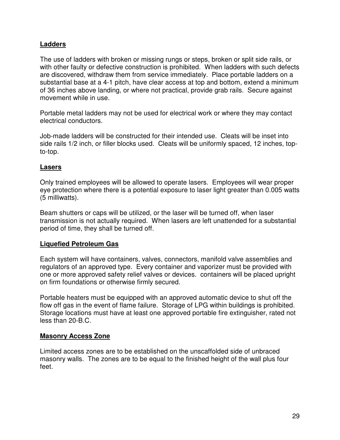#### **Ladders**

The use of ladders with broken or missing rungs or steps, broken or split side rails, or with other faulty or defective construction is prohibited. When ladders with such defects are discovered, withdraw them from service immediately. Place portable ladders on a substantial base at a 4-1 pitch, have clear access at top and bottom, extend a minimum of 36 inches above landing, or where not practical, provide grab rails. Secure against movement while in use.

Portable metal ladders may not be used for electrical work or where they may contact electrical conductors.

Job-made ladders will be constructed for their intended use. Cleats will be inset into side rails 1/2 inch, or filler blocks used. Cleats will be uniformly spaced, 12 inches, topto-top.

#### **Lasers**

Only trained employees will be allowed to operate lasers. Employees will wear proper eye protection where there is a potential exposure to laser light greater than 0.005 watts (5 milliwatts).

Beam shutters or caps will be utilized, or the laser will be turned off, when laser transmission is not actually required. When lasers are left unattended for a substantial period of time, they shall be turned off.

#### **Liquefied Petroleum Gas**

Each system will have containers, valves, connectors, manifold valve assemblies and regulators of an approved type. Every container and vaporizer must be provided with one or more approved safety relief valves or devices. containers will be placed upright on firm foundations or otherwise firmly secured.

Portable heaters must be equipped with an approved automatic device to shut off the flow off gas in the event of flame failure. Storage of LPG within buildings is prohibited. Storage locations must have at least one approved portable fire extinguisher, rated not less than 20-B.C.

#### **Masonry Access Zone**

Limited access zones are to be established on the unscaffolded side of unbraced masonry walls. The zones are to be equal to the finished height of the wall plus four feet.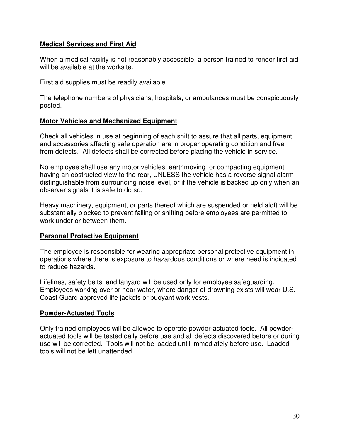#### **Medical Services and First Aid**

When a medical facility is not reasonably accessible, a person trained to render first aid will be available at the worksite.

First aid supplies must be readily available.

The telephone numbers of physicians, hospitals, or ambulances must be conspicuously posted.

#### **Motor Vehicles and Mechanized Equipment**

Check all vehicles in use at beginning of each shift to assure that all parts, equipment, and accessories affecting safe operation are in proper operating condition and free from defects. All defects shall be corrected before placing the vehicle in service.

No employee shall use any motor vehicles, earthmoving or compacting equipment having an obstructed view to the rear, UNLESS the vehicle has a reverse signal alarm distinguishable from surrounding noise level, or if the vehicle is backed up only when an observer signals it is safe to do so.

Heavy machinery, equipment, or parts thereof which are suspended or held aloft will be substantially blocked to prevent falling or shifting before employees are permitted to work under or between them.

#### **Personal Protective Equipment**

The employee is responsible for wearing appropriate personal protective equipment in operations where there is exposure to hazardous conditions or where need is indicated to reduce hazards.

Lifelines, safety belts, and lanyard will be used only for employee safeguarding. Employees working over or near water, where danger of drowning exists will wear U.S. Coast Guard approved life jackets or buoyant work vests.

#### **Powder-Actuated Tools**

Only trained employees will be allowed to operate powder-actuated tools. All powderactuated tools will be tested daily before use and all defects discovered before or during use will be corrected. Tools will not be loaded until immediately before use. Loaded tools will not be left unattended.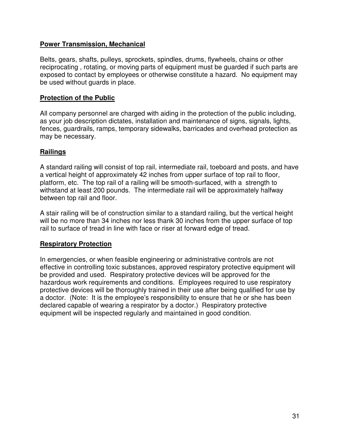#### **Power Transmission, Mechanical**

Belts, gears, shafts, pulleys, sprockets, spindles, drums, flywheels, chains or other reciprocating , rotating, or moving parts of equipment must be guarded if such parts are exposed to contact by employees or otherwise constitute a hazard. No equipment may be used without guards in place.

#### **Protection of the Public**

All company personnel are charged with aiding in the protection of the public including, as your job description dictates, installation and maintenance of signs, signals, lights, fences, guardrails, ramps, temporary sidewalks, barricades and overhead protection as may be necessary.

#### **Railings**

A standard railing will consist of top rail, intermediate rail, toeboard and posts, and have a vertical height of approximately 42 inches from upper surface of top rail to floor, platform, etc. The top rail of a railing will be smooth-surfaced, with a strength to withstand at least 200 pounds. The intermediate rail will be approximately halfway between top rail and floor.

A stair railing will be of construction similar to a standard railing, but the vertical height will be no more than 34 inches nor less thank 30 inches from the upper surface of top rail to surface of tread in line with face or riser at forward edge of tread.

#### **Respiratory Protection**

In emergencies, or when feasible engineering or administrative controls are not effective in controlling toxic substances, approved respiratory protective equipment will be provided and used. Respiratory protective devices will be approved for the hazardous work requirements and conditions. Employees required to use respiratory protective devices will be thoroughly trained in their use after being qualified for use by a doctor. (Note: It is the employee's responsibility to ensure that he or she has been declared capable of wearing a respirator by a doctor.) Respiratory protective equipment will be inspected regularly and maintained in good condition.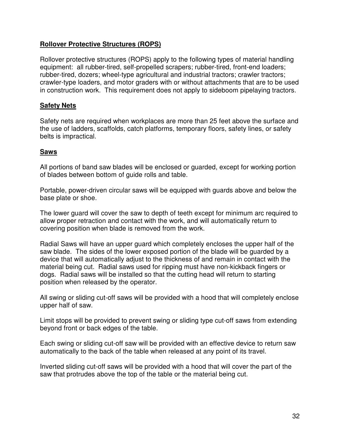#### **Rollover Protective Structures (ROPS)**

Rollover protective structures (ROPS) apply to the following types of material handling equipment: all rubber-tired, self-propelled scrapers; rubber-tired, front-end loaders; rubber-tired, dozers; wheel-type agricultural and industrial tractors; crawler tractors; crawler-type loaders, and motor graders with or without attachments that are to be used in construction work. This requirement does not apply to sideboom pipelaying tractors.

#### **Safety Nets**

Safety nets are required when workplaces are more than 25 feet above the surface and the use of ladders, scaffolds, catch platforms, temporary floors, safety lines, or safety belts is impractical.

#### **Saws**

All portions of band saw blades will be enclosed or guarded, except for working portion of blades between bottom of guide rolls and table.

Portable, power-driven circular saws will be equipped with guards above and below the base plate or shoe.

The lower guard will cover the saw to depth of teeth except for minimum arc required to allow proper retraction and contact with the work, and will automatically return to covering position when blade is removed from the work.

Radial Saws will have an upper guard which completely encloses the upper half of the saw blade. The sides of the lower exposed portion of the blade will be guarded by a device that will automatically adjust to the thickness of and remain in contact with the material being cut. Radial saws used for ripping must have non-kickback fingers or dogs. Radial saws will be installed so that the cutting head will return to starting position when released by the operator.

All swing or sliding cut-off saws will be provided with a hood that will completely enclose upper half of saw.

Limit stops will be provided to prevent swing or sliding type cut-off saws from extending beyond front or back edges of the table.

Each swing or sliding cut-off saw will be provided with an effective device to return saw automatically to the back of the table when released at any point of its travel.

Inverted sliding cut-off saws will be provided with a hood that will cover the part of the saw that protrudes above the top of the table or the material being cut.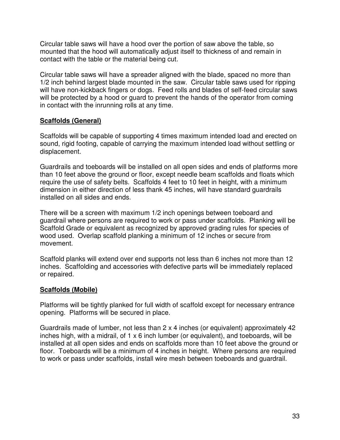Circular table saws will have a hood over the portion of saw above the table, so mounted that the hood will automatically adjust itself to thickness of and remain in contact with the table or the material being cut.

Circular table saws will have a spreader aligned with the blade, spaced no more than 1/2 inch behind largest blade mounted in the saw. Circular table saws used for ripping will have non-kickback fingers or dogs. Feed rolls and blades of self-feed circular saws will be protected by a hood or guard to prevent the hands of the operator from coming in contact with the inrunning rolls at any time.

#### **Scaffolds (General)**

Scaffolds will be capable of supporting 4 times maximum intended load and erected on sound, rigid footing, capable of carrying the maximum intended load without settling or displacement.

Guardrails and toeboards will be installed on all open sides and ends of platforms more than 10 feet above the ground or floor, except needle beam scaffolds and floats which require the use of safety belts. Scaffolds 4 feet to 10 feet in height, with a minimum dimension in either direction of less thank 45 inches, will have standard guardrails installed on all sides and ends.

There will be a screen with maximum 1/2 inch openings between toeboard and guardrail where persons are required to work or pass under scaffolds. Planking will be Scaffold Grade or equivalent as recognized by approved grading rules for species of wood used. Overlap scaffold planking a minimum of 12 inches or secure from movement.

Scaffold planks will extend over end supports not less than 6 inches not more than 12 inches. Scaffolding and accessories with defective parts will be immediately replaced or repaired.

#### **Scaffolds (Mobile)**

Platforms will be tightly planked for full width of scaffold except for necessary entrance opening. Platforms will be secured in place.

Guardrails made of lumber, not less than 2 x 4 inches (or equivalent) approximately 42 inches high, with a midrail, of 1 x 6 inch lumber (or equivalent), and toeboards, will be installed at all open sides and ends on scaffolds more than 10 feet above the ground or floor. Toeboards will be a minimum of 4 inches in height. Where persons are required to work or pass under scaffolds, install wire mesh between toeboards and guardrail.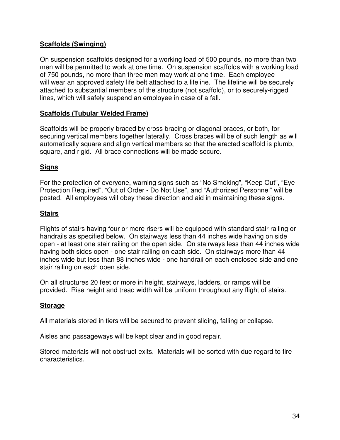#### **Scaffolds (Swinging)**

On suspension scaffolds designed for a working load of 500 pounds, no more than two men will be permitted to work at one time. On suspension scaffolds with a working load of 750 pounds, no more than three men may work at one time. Each employee will wear an approved safety life belt attached to a lifeline. The lifeline will be securely attached to substantial members of the structure (not scaffold), or to securely-rigged lines, which will safely suspend an employee in case of a fall.

#### **Scaffolds (Tubular Welded Frame)**

Scaffolds will be properly braced by cross bracing or diagonal braces, or both, for securing vertical members together laterally. Cross braces will be of such length as will automatically square and align vertical members so that the erected scaffold is plumb, square, and rigid. All brace connections will be made secure.

#### **Signs**

For the protection of everyone, warning signs such as "No Smoking", "Keep Out", "Eye Protection Required", "Out of Order - Do Not Use", and "Authorized Personnel" will be posted. All employees will obey these direction and aid in maintaining these signs.

#### **Stairs**

Flights of stairs having four or more risers will be equipped with standard stair railing or handrails as specified below. On stairways less than 44 inches wide having on side open - at least one stair railing on the open side. On stairways less than 44 inches wide having both sides open - one stair railing on each side. On stairways more than 44 inches wide but less than 88 inches wide - one handrail on each enclosed side and one stair railing on each open side.

On all structures 20 feet or more in height, stairways, ladders, or ramps will be provided. Rise height and tread width will be uniform throughout any flight of stairs.

#### **Storage**

All materials stored in tiers will be secured to prevent sliding, falling or collapse.

Aisles and passageways will be kept clear and in good repair.

Stored materials will not obstruct exits. Materials will be sorted with due regard to fire characteristics.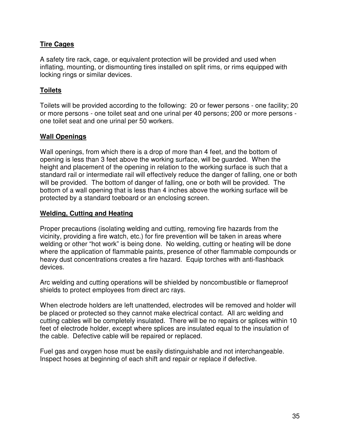#### **Tire Cages**

A safety tire rack, cage, or equivalent protection will be provided and used when inflating, mounting, or dismounting tires installed on split rims, or rims equipped with locking rings or similar devices.

#### **Toilets**

Toilets will be provided according to the following: 20 or fewer persons - one facility; 20 or more persons - one toilet seat and one urinal per 40 persons; 200 or more persons one toilet seat and one urinal per 50 workers.

#### **Wall Openings**

Wall openings, from which there is a drop of more than 4 feet, and the bottom of opening is less than 3 feet above the working surface, will be guarded. When the height and placement of the opening in relation to the working surface is such that a standard rail or intermediate rail will effectively reduce the danger of falling, one or both will be provided. The bottom of danger of falling, one or both will be provided. The bottom of a wall opening that is less than 4 inches above the working surface will be protected by a standard toeboard or an enclosing screen.

#### **Welding, Cutting and Heating**

Proper precautions (isolating welding and cutting, removing fire hazards from the vicinity, providing a fire watch, etc.) for fire prevention will be taken in areas where welding or other "hot work" is being done. No welding, cutting or heating will be done where the application of flammable paints, presence of other flammable compounds or heavy dust concentrations creates a fire hazard. Equip torches with anti-flashback devices.

Arc welding and cutting operations will be shielded by noncombustible or flameproof shields to protect employees from direct arc rays.

When electrode holders are left unattended, electrodes will be removed and holder will be placed or protected so they cannot make electrical contact. All arc welding and cutting cables will be completely insulated. There will be no repairs or splices within 10 feet of electrode holder, except where splices are insulated equal to the insulation of the cable. Defective cable will be repaired or replaced.

Fuel gas and oxygen hose must be easily distinguishable and not interchangeable. Inspect hoses at beginning of each shift and repair or replace if defective.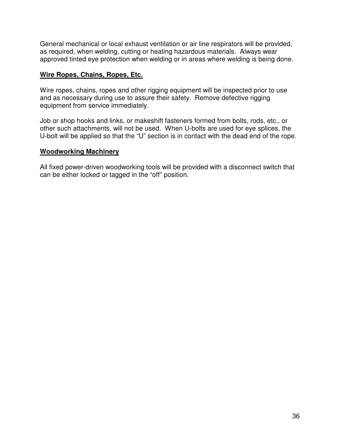General mechanical or local exhaust ventilation or air line respirators will be provided, as required, when welding, cutting or heating hazardous materials. Always wear approved tinted eye protection when welding or in areas where welding is being done.

#### **Wire Ropes, Chains, Ropes, Etc.**

Wire ropes, chains, ropes and other rigging equipment will be inspected prior to use and as necessary during use to assure their safety. Remove defective rigging equipment from service immediately.

Job or shop hooks and links, or makeshift fasteners formed from bolts, rods, etc., or other such attachments, will not be used. When U-bolts are used for eye splices, the U-bolt will be applied so that the "U" section is in contact with the dead end of the rope.

#### **Woodworking Machinery**

All fixed power-driven woodworking tools will be provided with a disconnect switch that can be either locked or tagged in the "off" position.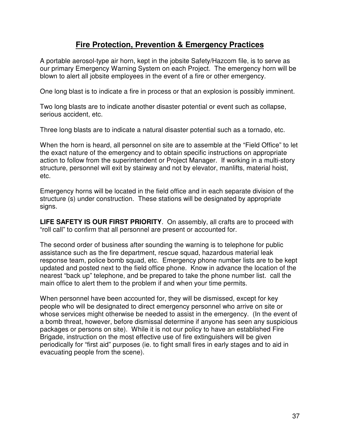# **Fire Protection, Prevention & Emergency Practices**

A portable aerosol-type air horn, kept in the jobsite Safety/Hazcom file, is to serve as our primary Emergency Warning System on each Project. The emergency horn will be blown to alert all jobsite employees in the event of a fire or other emergency.

One long blast is to indicate a fire in process or that an explosion is possibly imminent.

Two long blasts are to indicate another disaster potential or event such as collapse, serious accident, etc.

Three long blasts are to indicate a natural disaster potential such as a tornado, etc.

When the horn is heard, all personnel on site are to assemble at the "Field Office" to let the exact nature of the emergency and to obtain specific instructions on appropriate action to follow from the superintendent or Project Manager. If working in a multi-story structure, personnel will exit by stairway and not by elevator, manlifts, material hoist, etc.

Emergency horns will be located in the field office and in each separate division of the structure (s) under construction. These stations will be designated by appropriate signs.

**LIFE SAFETY IS OUR FIRST PRIORITY**. On assembly, all crafts are to proceed with "roll call" to confirm that all personnel are present or accounted for.

The second order of business after sounding the warning is to telephone for public assistance such as the fire department, rescue squad, hazardous material leak response team, police bomb squad, etc. Emergency phone number lists are to be kept updated and posted next to the field office phone. Know in advance the location of the nearest "back up" telephone, and be prepared to take the phone number list. call the main office to alert them to the problem if and when your time permits.

When personnel have been accounted for, they will be dismissed, except for key people who will be designated to direct emergency personnel who arrive on site or whose services might otherwise be needed to assist in the emergency. (In the event of a bomb threat, however, before dismissal determine if anyone has seen any suspicious packages or persons on site). While it is not our policy to have an established Fire Brigade, instruction on the most effective use of fire extinguishers will be given periodically for "first aid" purposes (ie. to fight small fires in early stages and to aid in evacuating people from the scene).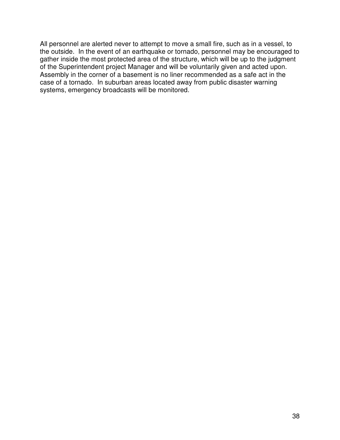All personnel are alerted never to attempt to move a small fire, such as in a vessel, to the outside. In the event of an earthquake or tornado, personnel may be encouraged to gather inside the most protected area of the structure, which will be up to the judgment of the Superintendent project Manager and will be voluntarily given and acted upon. Assembly in the corner of a basement is no liner recommended as a safe act in the case of a tornado. In suburban areas located away from public disaster warning systems, emergency broadcasts will be monitored.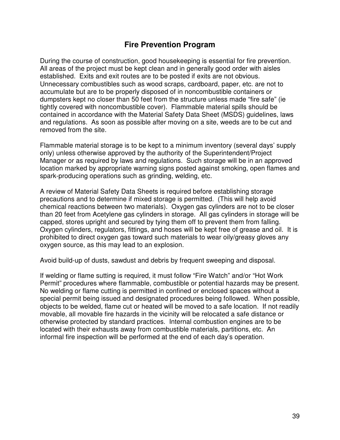### **Fire Prevention Program**

During the course of construction, good housekeeping is essential for fire prevention. All areas of the project must be kept clean and in generally good order with aisles established. Exits and exit routes are to be posted if exits are not obvious. Unnecessary combustibles such as wood scraps, cardboard, paper, etc. are not to accumulate but are to be properly disposed of in noncombustible containers or dumpsters kept no closer than 50 feet from the structure unless made "fire safe" (ie tightly covered with noncombustible cover). Flammable material spills should be contained in accordance with the Material Safety Data Sheet (MSDS) guidelines, laws and regulations. As soon as possible after moving on a site, weeds are to be cut and removed from the site.

Flammable material storage is to be kept to a minimum inventory (several days' supply only) unless otherwise approved by the authority of the Superintendent/Project Manager or as required by laws and regulations. Such storage will be in an approved location marked by appropriate warning signs posted against smoking, open flames and spark-producing operations such as grinding, welding, etc.

A review of Material Safety Data Sheets is required before establishing storage precautions and to determine if mixed storage is permitted. (This will help avoid chemical reactions between two materials). Oxygen gas cylinders are not to be closer than 20 feet from Acetylene gas cylinders in storage. All gas cylinders in storage will be capped, stores upright and secured by tying them off to prevent them from falling. Oxygen cylinders, regulators, fittings, and hoses will be kept free of grease and oil. It is prohibited to direct oxygen gas toward such materials to wear oily/greasy gloves any oxygen source, as this may lead to an explosion.

Avoid build-up of dusts, sawdust and debris by frequent sweeping and disposal.

If welding or flame sutting is required, it must follow "Fire Watch" and/or "Hot Work Permit" procedures where flammable, combustible or potential hazards may be present. No welding or flame cutting is permitted in confined or enclosed spaces without a special permit being issued and designated procedures being followed. When possible, objects to be welded, flame cut or heated will be moved to a safe location. If not readily movable, all movable fire hazards in the vicinity will be relocated a safe distance or otherwise protected by standard practices. Internal combustion engines are to be located with their exhausts away from combustible materials, partitions, etc. An informal fire inspection will be performed at the end of each day's operation.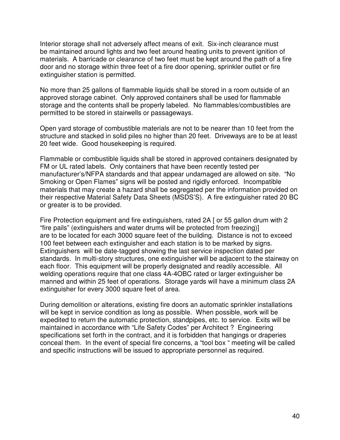Interior storage shall not adversely affect means of exit. Six-inch clearance must be maintained around lights and two feet around heating units to prevent ignition of materials. A barricade or clearance of two feet must be kept around the path of a fire door and no storage within three feet of a fire door opening, sprinkler outlet or fire extinguisher station is permitted.

No more than 25 gallons of flammable liquids shall be stored in a room outside of an approved storage cabinet. Only approved containers shall be used for flammable storage and the contents shall be properly labeled. No flammables/combustibles are permitted to be stored in stairwells or passageways.

Open yard storage of combustible materials are not to be nearer than 10 feet from the structure and stacked in solid piles no higher than 20 feet. Driveways are to be at least 20 feet wide. Good housekeeping is required.

Flammable or combustible liquids shall be stored in approved containers designated by FM or UL rated labels. Only containers that have been recently tested per manufacturer's/NFPA standards and that appear undamaged are allowed on site. "No Smoking or Open Flames" signs will be posted and rigidly enforced. Incompatible materials that may create a hazard shall be segregated per the information provided on their respective Material Safety Data Sheets (MSDS'S). A fire extinguisher rated 20 BC or greater is to be provided.

Fire Protection equipment and fire extinguishers, rated 2A [ or 55 gallon drum with 2 "fire pails" (extinguishers and water drums will be protected from freezing)] are to be located for each 3000 square feet of the building. Distance is not to exceed 100 feet between each extinguisher and each station is to be marked by signs. Extinguishers will be date-tagged showing the last service inspection dated per standards. In multi-story structures, one extinguisher will be adjacent to the stairway on each floor. This equipment will be properly designated and readily accessible. All welding operations require that one class 4A-4OBC rated or larger extinguisher be manned and within 25 feet of operations. Storage yards will have a minimum class 2A extinguisher for every 3000 square feet of area.

During demolition or alterations, existing fire doors an automatic sprinkler installations will be kept in service condition as long as possible. When possible, work will be expedited to return the automatic protection, standpipes, etc. to service. Exits will be maintained in accordance with "Life Safety Codes" per Architect ? Engineering specifications set forth in the contract, and it is forbidden that hangings or draperies conceal them. In the event of special fire concerns, a "tool box " meeting will be called and specific instructions will be issued to appropriate personnel as required.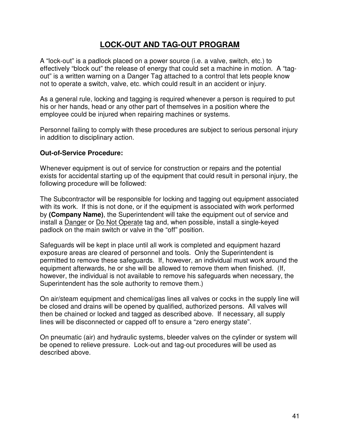# **LOCK-OUT AND TAG-OUT PROGRAM**

A "lock-out" is a padlock placed on a power source (i.e. a valve, switch, etc.) to effectively "block out" the release of energy that could set a machine in motion. A "tagout" is a written warning on a Danger Tag attached to a control that lets people know not to operate a switch, valve, etc. which could result in an accident or injury.

As a general rule, locking and tagging is required whenever a person is required to put his or her hands, head or any other part of themselves in a position where the employee could be injured when repairing machines or systems.

Personnel failing to comply with these procedures are subject to serious personal injury in addition to disciplinary action.

#### **Out-of-Service Procedure:**

Whenever equipment is out of service for construction or repairs and the potential exists for accidental starting up of the equipment that could result in personal injury, the following procedure will be followed:

The Subcontractor will be responsible for locking and tagging out equipment associated with its work. If this is not done, or if the equipment is associated with work performed by **(Company Name)**, the Superintendent will take the equipment out of service and install a Danger or Do Not Operate tag and, when possible, install a single-keyed padlock on the main switch or valve in the "off" position.

Safeguards will be kept in place until all work is completed and equipment hazard exposure areas are cleared of personnel and tools. Only the Superintendent is permitted to remove these safeguards. If, however, an individual must work around the equipment afterwards, he or she will be allowed to remove them when finished. (If, however, the individual is not available to remove his safeguards when necessary, the Superintendent has the sole authority to remove them.)

On air/steam equipment and chemical/gas lines all valves or cocks in the supply line will be closed and drains will be opened by qualified, authorized persons. All valves will then be chained or locked and tagged as described above. If necessary, all supply lines will be disconnected or capped off to ensure a "zero energy state".

On pneumatic (air) and hydraulic systems, bleeder valves on the cylinder or system will be opened to relieve pressure. Lock-out and tag-out procedures will be used as described above.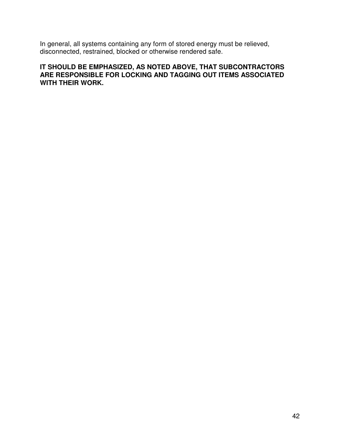In general, all systems containing any form of stored energy must be relieved, disconnected, restrained, blocked or otherwise rendered safe.

#### **IT SHOULD BE EMPHASIZED, AS NOTED ABOVE, THAT SUBCONTRACTORS ARE RESPONSIBLE FOR LOCKING AND TAGGING OUT ITEMS ASSOCIATED WITH THEIR WORK.**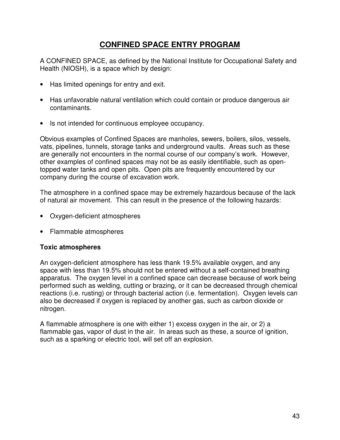# **CONFINED SPACE ENTRY PROGRAM**

A CONFINED SPACE, as defined by the National Institute for Occupational Safety and Health (NIOSH), is a space which by design:

- Has limited openings for entry and exit.
- Has unfavorable natural ventilation which could contain or produce dangerous air contaminants.
- Is not intended for continuous employee occupancy.

Obvious examples of Confined Spaces are manholes, sewers, boilers, silos, vessels, vats, pipelines, tunnels, storage tanks and underground vaults. Areas such as these are generally not encounters in the normal course of our company's work. However, other examples of confined spaces may not be as easily identifiable, such as opentopped water tanks and open pits. Open pits are frequently encountered by our company during the course of excavation work.

The atmosphere in a confined space may be extremely hazardous because of the lack of natural air movement. This can result in the presence of the following hazards:

- Oxygen-deficient atmospheres
- Flammable atmospheres

#### **Toxic atmospheres**

An oxygen-deficient atmosphere has less thank 19.5% available oxygen, and any space with less than 19.5% should not be entered without a self-contained breathing apparatus. The oxygen level in a confined space can decrease because of work being performed such as welding, cutting or brazing, or it can be decreased through chemical reactions (i.e. rusting) or through bacterial action (i.e. fermentation). Oxygen levels can also be decreased if oxygen is replaced by another gas, such as carbon dioxide or nitrogen.

A flammable atmosphere is one with either 1) excess oxygen in the air, or 2) a flammable gas, vapor of dust in the air. In areas such as these, a source of ignition, such as a sparking or electric tool, will set off an explosion.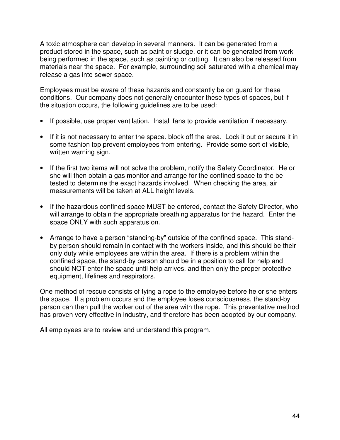A toxic atmosphere can develop in several manners. It can be generated from a product stored in the space, such as paint or sludge, or it can be generated from work being performed in the space, such as painting or cutting. It can also be released from materials near the space. For example, surrounding soil saturated with a chemical may release a gas into sewer space.

Employees must be aware of these hazards and constantly be on guard for these conditions. Our company does not generally encounter these types of spaces, but if the situation occurs, the following guidelines are to be used:

- If possible, use proper ventilation. Install fans to provide ventilation if necessary.
- If it is not necessary to enter the space. block off the area. Lock it out or secure it in some fashion top prevent employees from entering. Provide some sort of visible, written warning sign.
- If the first two items will not solve the problem, notify the Safety Coordinator. He or she will then obtain a gas monitor and arrange for the confined space to the be tested to determine the exact hazards involved. When checking the area, air measurements will be taken at ALL height levels.
- If the hazardous confined space MUST be entered, contact the Safety Director, who will arrange to obtain the appropriate breathing apparatus for the hazard. Enter the space ONLY with such apparatus on.
- Arrange to have a person "standing-by" outside of the confined space. This standby person should remain in contact with the workers inside, and this should be their only duty while employees are within the area. If there is a problem within the confined space, the stand-by person should be in a position to call for help and should NOT enter the space until help arrives, and then only the proper protective equipment, lifelines and respirators.

One method of rescue consists of tying a rope to the employee before he or she enters the space. If a problem occurs and the employee loses consciousness, the stand-by person can then pull the worker out of the area with the rope. This preventative method has proven very effective in industry, and therefore has been adopted by our company.

All employees are to review and understand this program.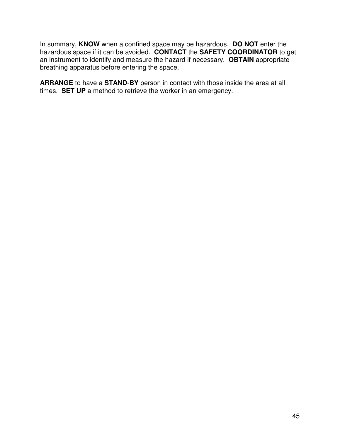In summary, **KNOW** when a confined space may be hazardous. **DO NOT** enter the hazardous space if it can be avoided. **CONTACT** the **SAFETY COORDINATOR** to get an instrument to identify and measure the hazard if necessary. **OBTAIN** appropriate breathing apparatus before entering the space.

**ARRANGE** to have a **STAND**-**BY** person in contact with those inside the area at all times. **SET UP** a method to retrieve the worker in an emergency.